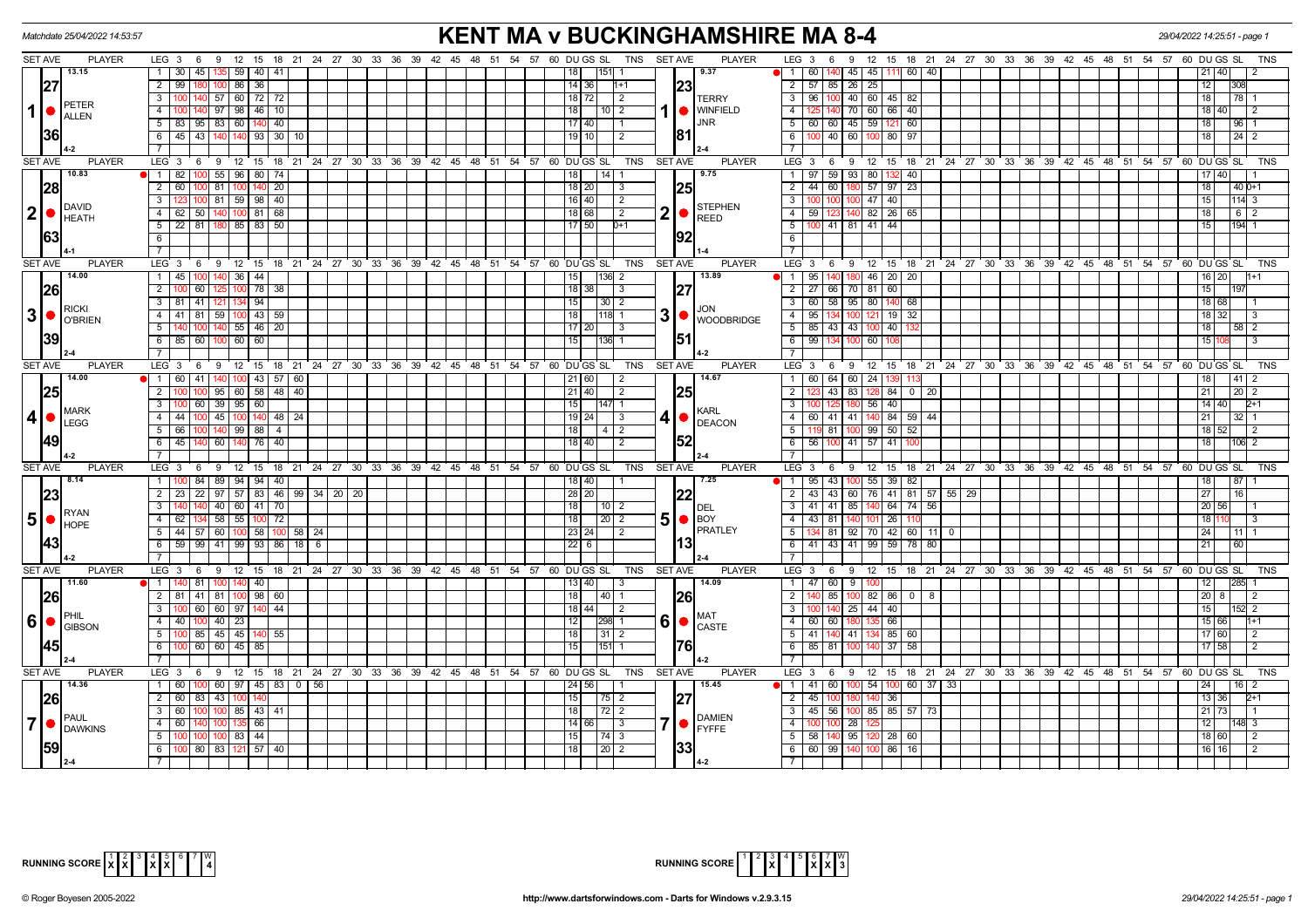| Matchdate 25/04/2022 14:53:57                         |                                                                                         | <b>KENT MA v BUCKINGHAMSHIRE MA 8-4</b>                |                                            |                                                                                          | 29/04/2022 14:25:51 - page 1 |  |  |  |
|-------------------------------------------------------|-----------------------------------------------------------------------------------------|--------------------------------------------------------|--------------------------------------------|------------------------------------------------------------------------------------------|------------------------------|--|--|--|
| <b>SET AVE</b><br><b>PLAYER</b>                       | LEG 3 6 9 12 15 18 21 24 27 30 33 36 39 42 45 48 51 54 57 60 DUGS SL                    | TNS SET AVE                                            | <b>PLAYER</b>                              | LEG <sub>3</sub><br>9 12 15 18 21 24 27 30 33 36 39 42 45 48 51 54 57 60 DU GS SL<br>6   | TNS                          |  |  |  |
| 13.15                                                 | 135 59 40 41<br>1 <sup>1</sup><br>30   45                                               | 1151                                                   | 9.37                                       | $45 \mid 45 \mid$<br>60 40<br>1 60<br>140<br>111                                         | $21$   40<br>$\mathcal{P}$   |  |  |  |
| 27                                                    | 2 99 180<br>100 86 36                                                                   | 14   36  <br>$1+1$                                     | 23                                         | $2 \mid 57$<br>85 26 25                                                                  | 12<br>3081                   |  |  |  |
|                                                       | $\overline{\phantom{a}3}$<br>100 140 57 60 72 72                                        | 18 72 <br>2                                            | <b>TERRY</b>                               | 100 40 60 45 82<br>$3 \mid 96$                                                           | 18<br> 78 1                  |  |  |  |
| PETER<br>$1$ $\bullet$<br>ALLEN                       | $\overline{4}$<br>97 98 46 10                                                           | 10 2<br>18 I                                           | <b>WINFIELD</b>                            | $\overline{4}$<br>140 70 60 66 40                                                        | 18   40  <br>$\overline{12}$ |  |  |  |
|                                                       | $5 \mid 83 \mid 95 \mid 83 \mid 60 \mid 140 \mid 40$                                    | 17140                                                  | <b>JNR</b>                                 | 5   60   60   45   59<br>121 60                                                          | 18<br> 96 1                  |  |  |  |
| <b>36</b>                                             | $6 \mid 45 \mid 43$<br>140 140 93 30 10                                                 | l 19   10  <br>2                                       | 181                                        | 6<br>40 60 100 80 97                                                                     | 18  <br> 24 2                |  |  |  |
|                                                       | $\overline{7}$                                                                          |                                                        |                                            | $\overline{7}$                                                                           |                              |  |  |  |
| <b>SET AVE</b><br><b>PLAYER</b>                       | $LEG_36$<br>9 12 15 18 21 24 27 30 33 36 39 42 45 48 51 54 57 60 DUGS SL                | <b>TNS</b>                                             | <b>SET AVE</b><br><b>PLAYER</b>            | LEG <sub>3</sub><br>6 9 12 15 18 21 24 27 30 33 36 39 42 45 48 51 54 57 60 DUGS SL       | TNS                          |  |  |  |
| 10.83                                                 | 1 82 100 55 96 80 74                                                                    | $14$ 1<br> 18                                          | 9.75                                       | 59 93 80<br>132 40<br>1   97                                                             | 17   40                      |  |  |  |
| 28                                                    | $\overline{2}$<br>60<br>81 100 140 20                                                   | 18 20<br>3                                             | 25                                         | 2<br>60<br>180 57 97 23<br>44                                                            | 18<br>40 0+1                 |  |  |  |
|                                                       | 3 <sup>1</sup><br>123 100 81 59 98 40                                                   | 16   40  <br>$\sqrt{2}$                                |                                            | 3 <sup>1</sup><br>100 100 47 40                                                          | 15<br> 114 3                 |  |  |  |
| DAVID<br> 2 <br>$\bullet$                             | 4 62 50 140 100 81 68                                                                   | 18   68  <br>l 2                                       | <b>STEPHEN</b><br>2 •<br><b>REED</b>       | 4   59   123   140   82   26   65                                                        | 18<br>  6   2                |  |  |  |
| <b>HEATH</b>                                          | $5 \mid 22 \mid 81$<br>180 85 83 50                                                     | 17   50  <br>$D+1$                                     |                                            | 5<br>$\overline{00}$ 41   81   41   44                                                   | 15<br>194 1                  |  |  |  |
| 63                                                    | 6                                                                                       |                                                        | 192                                        | 6                                                                                        |                              |  |  |  |
|                                                       | $\overline{7}$                                                                          |                                                        |                                            | $\overline{7}$                                                                           |                              |  |  |  |
| <b>SET AVE</b><br><b>PLAYER</b>                       | LEG 3<br>$12 \quad 15$<br>18 21 24 27 30 33 36 39 42 45 48 51 54 57<br>9<br>- 6         | 60 DU GS SL<br><b>TNS</b>                              | <b>SET AVE</b><br><b>PLAYER</b>            | LEG 3<br>$9 \t12$<br>15 18 21 24 27 30 33 36 39 42 45 48 51 54 57 60 DUGS SL<br>6        | <b>TNS</b>                   |  |  |  |
| 14.00                                                 | 140 36 44<br>1 45 100                                                                   | $ 136 $ 2                                              | 13.89                                      | 140 180 46 20 20<br>$1 \mid 95$                                                          | $16$   20  <br>$11+1$        |  |  |  |
| <b>26</b>                                             | $\overline{2}$<br>100 78 38<br>60                                                       | 18   38  <br>$\sqrt{3}$                                | 27                                         | 2   27   66   70   81   60                                                               | 15                           |  |  |  |
|                                                       | $\overline{3}$<br>$81$ 41<br>121 134 94                                                 | <b>15</b><br>$30$   2                                  |                                            | 3   60   58   95   80<br>140 68                                                          | 18 68                        |  |  |  |
| <b>RICKI</b><br> 3 <br>$\bullet$                      | 59 100 43 59<br>4<br>41<br>l 81                                                         | $1118$ 1<br>l 18 l                                     | <b>JON</b><br>$3 \nvert \nvert$ WOODBRIDGE | $4 \mid 95$<br>$19$ 32<br>134                                                            | 18 I<br>32  <br>l 3          |  |  |  |
| O'BRIEN                                               | 5<br>140 55 46 20                                                                       | 17   20                                                |                                            | $43$ $ 43$ 1<br>$5 \mid 85$<br>40                                                        | 18<br>$58$   2               |  |  |  |
| 39                                                    | 100 60 60<br>6<br>85 60                                                                 | $136$ 1<br>l 15 l                                      |                                            | $6 \mid 99$<br>134<br>60                                                                 | 15<br>l 3                    |  |  |  |
|                                                       | $7^{\circ}$                                                                             |                                                        |                                            | $\overline{7}$                                                                           |                              |  |  |  |
| <b>SET AVE</b><br><b>PLAYER</b>                       | LEG <sub>3</sub><br>9 12 15 18 21 24 27 30 33 36 39 42 45 48 51 54 57 60 DUGS SL<br>- 6 | <b>TNS</b>                                             | <b>SET AVE</b><br><b>PLAYER</b>            | LEG 3<br>15 18 21 24 27 30 33 36 39 42 45 48 51 54 57 60 DUGS SL<br>12<br>- 6<br>9       | TNS                          |  |  |  |
| 14.00                                                 | 1 60 41<br>43 57<br>60                                                                  | 21   60<br>-2                                          | 14.67                                      | $\overline{1}$   60<br>64 I<br>60 24                                                     | $41$   2<br>18               |  |  |  |
| 25                                                    | 2 <sup>1</sup><br>95 60 58 48 40                                                        | 21 40 <br>$\overline{2}$                               | 25                                         | $2$ 1<br>43 83 128<br>84 0 20                                                            | 21<br>$20$   2               |  |  |  |
|                                                       | 39 95 60<br>$\overline{3}$<br>100 60                                                    | 15<br>$147$ 1                                          |                                            | $\overline{3}$<br>56<br>40                                                               | $14$   40<br>$2+1$           |  |  |  |
| <b>IMARK</b><br>4 •<br><b>LEGG</b>                    | $-4$<br>45 100 140 48 24<br>44   100                                                    | 19   24  <br>3                                         | <b>KARL</b><br>4١                          | 84 59 44<br>$4 \mid 60$<br>$41 \mid 41 \mid 140$                                         | 32 I 1<br>21                 |  |  |  |
|                                                       | 5<br>66 100<br>140 99 88 4                                                              | $\begin{array}{c c c c c} 4 & 2 \end{array}$<br>l 18 l | DEACON                                     | 119 81 100 99 50 52<br>5                                                                 | $18$ 52<br>$\overline{2}$    |  |  |  |
| <b>149</b>                                            | 6 45 140 60 140 76 40                                                                   | 18   40  <br>2                                         | 152                                        | $6 \mid 56 \mid$<br>$100$ 41 57 41                                                       | 18<br> 106  2                |  |  |  |
|                                                       | $\overline{7}$                                                                          |                                                        |                                            | $\overline{7}$                                                                           |                              |  |  |  |
| SET AVE<br><b>PLAYER</b>                              | $LEG_3$ 6<br>9 12 15 18 21 24 27 30 33 36 39 42 45 48 51 54 57 60 DUGS SL               | <b>TNS</b>                                             | <b>SET AVE</b><br><b>PLAYER</b>            | LEG <sub>3</sub><br>12 15 18 21 24 27 30 33 36 39 42 45 48 51 54 57 60 DUGS SL<br>6<br>9 | TNS                          |  |  |  |
| 8.14                                                  | 1   100   84   89   94   94   40                                                        | 18 40                                                  | 7.25                                       | 1   95   43   100   55   39   82                                                         | 18 <br>87                    |  |  |  |
| 23                                                    | $\overline{2}$<br>$\overline{23}$<br>  22   97   57   83   46   99   34   20   20       | 28 20                                                  | 22                                         | $2 \mid 43$<br>43 60 76 41 81 57 55 29                                                   | $\overline{27}$<br>16        |  |  |  |
|                                                       | $\overline{\mathbf{3}}$<br>40 60 41 70                                                  | l 18 l<br> 10 2                                        | DEL                                        | $3 \mid 41$<br>41<br>85<br>64 74 56                                                      | 20   56                      |  |  |  |
| RYAN<br>$5\phantom{.}$<br>$\bullet$<br><b>HOPE</b>    | 58 55 100 72<br>4<br>62   134                                                           | l 18 l<br> 20 2                                        | $5$ $\bullet$ BOY                          | $4 \mid 43 \mid$<br>81<br>26 11                                                          | 18 1<br>l 3                  |  |  |  |
|                                                       | 5<br>44 57 60 100 58 100 58 24                                                          | 23   24  <br>2                                         | <b>PRATLEY</b>                             | 5<br>$42 \ 60 \ 11 \ 0$<br>81<br>92 70                                                   | 24<br>  11   1               |  |  |  |
| 43                                                    | 6<br>41 99 93<br>$18$ 6<br>99<br>86                                                     | 22 6                                                   |                                            | $6 \mid 41 \mid$<br>  43   41<br>99<br>59 78 80                                          | 21                           |  |  |  |
|                                                       | $\overline{7}$                                                                          |                                                        |                                            |                                                                                          |                              |  |  |  |
| SET AVE<br><b>PLAYER</b>                              | $LEG$ 3 6<br>$12 \quad 15$<br>18 21 24 27 30 33 36 39 42 45 48 51 54 57<br>9            | 60 DU GS SL<br><b>TNS</b>                              | <b>SET AVE</b><br><b>PLAYER</b>            | LEG 3<br>$9 \t12$<br>15 18 21 24 27 30 33 36 39 42 45 48 51 54 57 60 DUGS SL<br>6        | <b>TNS</b>                   |  |  |  |
| 11.60                                                 | $1 \mid 140 \mid 81$<br>100 140 40                                                      | 13   40  <br>3                                         | 14.09                                      | $1$   47   60   9                                                                        | 12<br>I285I                  |  |  |  |
| 26                                                    | 2   81   41   81   100   98   60                                                        | l 18 l<br>  40   1                                     | <b>26</b>                                  | $\overline{2}$<br>85<br>$100 \ 82 \ 86 \ 0 \ 8$                                          | 20 8  <br>12                 |  |  |  |
|                                                       | $100$ 60 60 97 140 44                                                                   | $18$   44 <br>l 2                                      |                                            | $25 \mid 44 \mid 40$<br>-3 I<br>140 l                                                    | 15<br>521 2                  |  |  |  |
| PHIL<br>$6\phantom{1}6$<br>$\bullet$<br><b>GIBSON</b> | 4 40 100 40 23                                                                          | 298                                                    | <b>MAT</b><br>6 0<br><b>CASTE</b>          | $-4$<br>60<br>66<br>60                                                                   | 15 66<br>$h+1$               |  |  |  |
|                                                       | 5<br>100 85 45 45 140 55                                                                | 18 <br>$31$   2                                        |                                            | 85 60<br>$5 \mid 41$<br>140 41 134                                                       | 17 60<br>$\overline{2}$      |  |  |  |
| <b>145</b>                                            | 6<br>60 45 85<br>00 <sup>1</sup>                                                        | 151<br>15                                              | 761                                        | $6 \mid 85$<br>81<br>$37$ 58                                                             | $17$ 58<br>$\overline{2}$    |  |  |  |
|                                                       | $\overline{7}$                                                                          |                                                        |                                            | $\overline{7}$                                                                           |                              |  |  |  |
| <b>SET AVE</b><br><b>PLAYER</b>                       | LEG 3 6 9 12 15 18 21 24 27 30 33 36 39 42 45 48 51 54 57 60 DUGS SL                    | TNS                                                    | <b>SET AVE</b><br><b>PLAYER</b>            | LEG 3<br>6 9 12 15 18 21 24 27 30 33 36 39 42 45 48 51 54 57 60 DUGS SL                  | TNS                          |  |  |  |
| 14.36                                                 | 60<br>60 97 45 83<br>1 <sup>1</sup><br>0 56                                             | 24   56                                                | 15.45                                      | $1$ 41<br>60<br>0 54<br>60 37<br>-33                                                     | 24<br>l 16 I 2               |  |  |  |
| <b>26</b>                                             | 43 100<br>$\overline{2}$<br>60 83                                                       | 15 <sup>1</sup><br> 75 2                               | 27                                         | $2 \mid 45$<br>36<br>m                                                                   | 13 36 <br>$2+1$              |  |  |  |
|                                                       | 3 <sup>1</sup><br>60 l<br>100 85 43 41                                                  | 72   2                                                 |                                            | 56   100   85   85   57   73<br>3   45                                                   | 21<br>73.                    |  |  |  |
| <b>IPAUL</b><br>7<br>$\bullet$<br><b>DAWKINS</b>      | 4 I<br>60   140<br>66<br>ന്ന:                                                           | 14 66  <br>3                                           | <b>DAMIEN</b><br><b>IFYFFE</b>             | 4<br>28 I                                                                                | 12<br>148  3                 |  |  |  |
|                                                       | 5 100 100<br>100 83 44                                                                  | $\vert 74 \vert 3$<br>  15                             |                                            | $5 \mid 58 \mid$<br>140 95 120<br>28 60                                                  | 18 60 <br>$\overline{2}$     |  |  |  |
| 59                                                    | 6   100   80   83   121   57   40                                                       | $\sqrt{20}$ 2<br>l 18 l                                | 33                                         | 6 6 60 99 140 100<br>86 16                                                               | $16$   16 <br>l 2            |  |  |  |
|                                                       | $\overline{7}$                                                                          |                                                        |                                            |                                                                                          |                              |  |  |  |



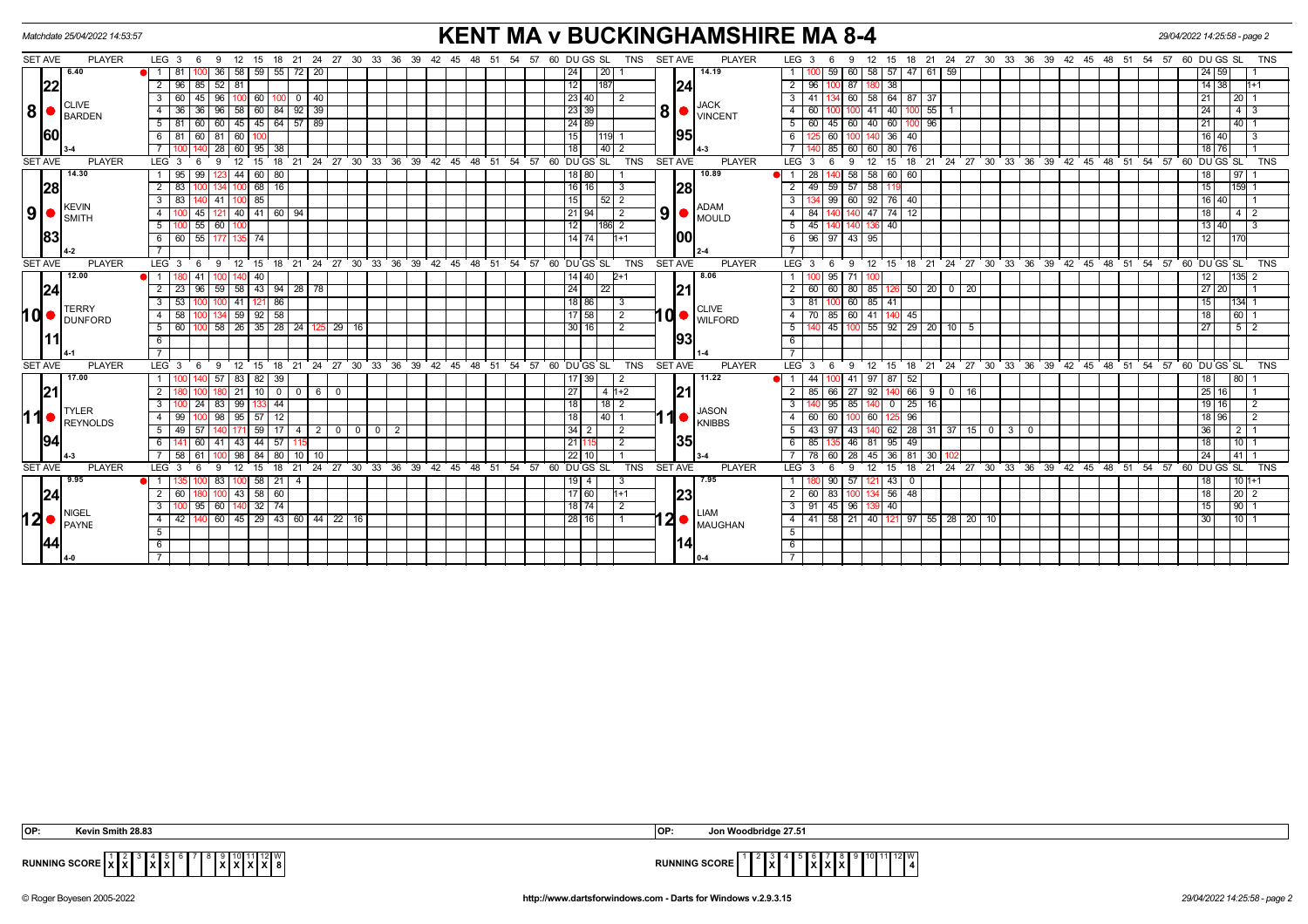| Matchdate 25/04/2022 14:53:57 |            |                                          |                      |                                   |                   |                                  |                 |                              |                        | <b>KENT MA v BUCKINGHAMSHIRE MA 8-4</b><br>15 18 21 24 27 30 33 36 39 42 45 48 51 54 57 60 DUGS SL<br>15 18 21 24 27 30 33 36 39 42 45 48 51 54 57 60 DUGS SL |                                                      |                                                                            |          |       |                 |                        |                 |                 |                 |                               |                |                                          |                | 29/04/2022 14:25:58 - page 2     |              |                                       |                  |                 |             |   |        |                                      |                                           |                       |    |          |         |                    |                                                               |            |
|-------------------------------|------------|------------------------------------------|----------------------|-----------------------------------|-------------------|----------------------------------|-----------------|------------------------------|------------------------|---------------------------------------------------------------------------------------------------------------------------------------------------------------|------------------------------------------------------|----------------------------------------------------------------------------|----------|-------|-----------------|------------------------|-----------------|-----------------|-----------------|-------------------------------|----------------|------------------------------------------|----------------|----------------------------------|--------------|---------------------------------------|------------------|-----------------|-------------|---|--------|--------------------------------------|-------------------------------------------|-----------------------|----|----------|---------|--------------------|---------------------------------------------------------------|------------|
| SET AVE                       |            | <b>PLAYER</b>                            | $LEG_3 6$            | 9                                 | 12                |                                  |                 |                              |                        |                                                                                                                                                               |                                                      |                                                                            |          |       |                 |                        |                 |                 |                 | <b>TNS</b>                    | <b>SET AVE</b> |                                          | <b>PLAYER</b>  | LEG <sub>3</sub>                 |              | 9                                     | 12               |                 |             |   |        |                                      |                                           |                       |    |          |         |                    |                                                               | <b>TNS</b> |
|                               |            | 6.40                                     | -81                  |                                   | 36                | 58 59 55 72 20                   |                 |                              |                        |                                                                                                                                                               |                                                      |                                                                            |          |       |                 |                        |                 | 24              |                 |                               |                |                                          | 14.19          |                                  |              | 59                                    | 58<br>60 I       |                 | 57 47 61 59 |   |        |                                      |                                           |                       |    |          |         | 24   59            |                                                               |            |
|                               | 22         |                                          | 96<br>2 <sup>1</sup> | 85                                | $52$ 81           |                                  |                 |                              |                        |                                                                                                                                                               |                                                      |                                                                            |          |       |                 |                        |                 | 12              |                 |                               |                | 24                                       |                |                                  | $2 \mid 96$  |                                       |                  | 38              |             |   |        |                                      |                                           |                       |    |          |         | 14 38              |                                                               | l1+1       |
|                               |            |                                          | 3 <sup>1</sup><br>60 | $96$ 100 60<br>$100$ 0 40<br>  45 |                   |                                  |                 |                              |                        |                                                                                                                                                               |                                                      | 23 40                                                                      |          | 2     |                 |                        |                 |                 | 3   41          | 134 60 58                     |                |                                          | 64 87 37       |                                  |              |                                       |                  |                 |             |   |        | 21                                   | 20 1                                      |                       |    |          |         |                    |                                                               |            |
|                               |            | <b>CLIVE</b><br>$8 \nvert \nvert$ BARDEN | $\overline{4}$<br>36 | 96                                | 58                | 60                               | 84 92 39        |                              |                        |                                                                                                                                                               |                                                      |                                                                            |          |       | 23 39           |                        |                 | 8 <sup>1</sup>  |                 | <b>JACK</b><br><b>VINCENT</b> |                | 60                                       |                | 41                               | 40           |                                       | 55               |                 |             |   |        |                                      |                                           |                       | 24 | 4        |         |                    |                                                               |            |
|                               |            |                                          | 5 <sub>1</sub><br>81 | 60 45 45 64 57 89<br>- 60 I       |                   |                                  |                 |                              |                        |                                                                                                                                                               |                                                      |                                                                            |          | 24 89 |                 |                        |                 |                 | 5   60          | 45 60 40                      |                |                                          | 60 100 96      |                                  |              |                                       |                  |                 |             |   |        | 21                                   | $140$ 1                                   |                       |    |          |         |                    |                                                               |            |
|                               | <b>60l</b> |                                          | 81<br>6              | 60                                | 81<br>60          |                                  |                 |                              |                        |                                                                                                                                                               |                                                      |                                                                            |          |       | 15 <sub>l</sub> |                        |                 | 195             |                 | 6                             |                | 60                                       |                |                                  | 36 40        |                                       |                  |                 |             |   |        |                                      |                                           | 16 <sub>1</sub><br>40 |    |          |         |                    |                                                               |            |
|                               |            |                                          |                      | 28                                |                   | $60$ 95                          | 38              |                              |                        |                                                                                                                                                               |                                                      |                                                                            |          |       |                 |                        |                 | 18              | l 40 l 2        |                               |                |                                          |                |                                  |              | 85 60                                 | 60               | 80 76           |             |   |        |                                      |                                           |                       |    |          |         | $18$ 76            |                                                               |            |
| <b>SET AVE</b>                |            | <b>PLAYER</b>                            | LEG <sub>3</sub>     | 9                                 | $12 \overline{ }$ | 15                               | 18 21           |                              | $24 \quad 27 \quad 30$ |                                                                                                                                                               | 33 36                                                |                                                                            | 39 42 45 |       |                 | 48 51 54 57            |                 | 60 DUGS SL      |                 | <b>TNS</b>                    | <b>SET AVE</b> |                                          | <b>PLAYER</b>  | LEG <sub>3</sub>                 |              | $\mathbf{Q}$                          | 12               | 15              | - 18        |   |        |                                      | 21 24 27 30 33 36 39 42                   | 45 48 51              |    |          |         | 54 57 60 DUGS SL   |                                                               | <b>TNS</b> |
|                               |            | 14.30                                    | 95                   | 99                                | 44                | 60                               | 80              |                              |                        |                                                                                                                                                               |                                                      |                                                                            |          |       |                 |                        |                 | $18$   80       |                 |                               |                |                                          | 10.89          |                                  | 28           |                                       | 58 58            | 60 60           |             |   |        |                                      |                                           |                       |    |          |         | 18                 | 97                                                            |            |
|                               | 28         |                                          | 2                    | 16<br>68                          |                   |                                  |                 |                              |                        |                                                                                                                                                               |                                                      |                                                                            |          |       |                 |                        | $16$   16       |                 |                 |                               | 28             |                                          | 2 <sub>1</sub> | 49                               | $59$ 57 58   |                                       |                  |                 |             |   |        |                                      |                                           |                       |    |          | 15      | 159                |                                                               |            |
|                               |            | KEVIN<br><b>I</b> smith                  | 3 <sup>1</sup><br>83 | 85<br>41                          |                   |                                  |                 |                              |                        |                                                                                                                                                               |                                                      |                                                                            |          | 15    |                 |                        |                 |                 | <b>ADAM</b>     |                               |                | 99 60                                    | 92             |                                  | 76 40        |                                       |                  |                 |             |   |        |                                      |                                           | 16 <sub>1</sub><br>40 |    |          |         |                    |                                                               |            |
| 9 <sup>1</sup>                | ●          |                                          | 4                    | 121<br>45                         |                   | $40$   41   60   94              |                 |                              |                        |                                                                                                                                                               |                                                      | $9$ $\bullet$ $\sim$<br>21 94<br>47<br>$74$ 12<br>$\overline{2}$<br>4   84 |          |       |                 |                        |                 |                 |                 |                               |                |                                          |                | 18                               | 4   2        |                                       |                  |                 |             |   |        |                                      |                                           |                       |    |          |         |                    |                                                               |            |
|                               |            |                                          | 5                    | 60<br>55                          |                   |                                  |                 |                              |                        |                                                                                                                                                               |                                                      |                                                                            |          |       |                 |                        |                 | 12 <sub>1</sub> | 186   2         |                               |                |                                          |                |                                  | 5   45       |                                       |                  | 40              |             |   |        |                                      |                                           |                       |    |          |         | 13 40              |                                                               |            |
|                               | 83         |                                          | - 6 I                | 60 55 177 135 74                  |                   |                                  |                 |                              |                        |                                                                                                                                                               |                                                      |                                                                            |          |       |                 |                        |                 | $14$ 74         |                 | $h+1$                         |                | 100                                      |                |                                  |              | 6   96   97   43   95                 |                  |                 |             |   |        |                                      |                                           |                       |    |          |         | 12                 | 1170                                                          |            |
|                               |            |                                          |                      |                                   |                   |                                  |                 |                              |                        |                                                                                                                                                               |                                                      |                                                                            |          |       |                 |                        |                 |                 |                 |                               |                |                                          |                |                                  |              |                                       |                  |                 |             |   |        |                                      |                                           |                       |    |          |         |                    |                                                               |            |
| <b>SET AVE</b>                |            | <b>PLAYER</b>                            | LEG <sup>3</sup>     | - 6<br>-9                         | $12 \quad 15$     |                                  |                 |                              |                        |                                                                                                                                                               | 18 21 24 27 30 33 36 39 42 45 48 51 54 57 60 DUGS SL |                                                                            |          |       |                 |                        |                 |                 |                 | <b>TNS</b>                    | <b>SET AVE</b> |                                          | <b>PLAYER</b>  | LEG 3                            |              | - 9<br>- 6                            | 12               |                 |             |   |        |                                      | 15 18 21 24 27 30 33 36 39 42 45 48 51    |                       |    | 54 57    |         | 60 DUGS SL         |                                                               | <b>TNS</b> |
|                               |            | 12.00<br><b>TERRY</b><br><b>DUNFORD</b>  |                      | 41                                |                   | 40                               |                 |                              |                        |                                                                                                                                                               |                                                      |                                                                            |          |       |                 |                        |                 | $14$   40       |                 | $2+1$                         |                |                                          | 8.06           |                                  | $95 \mid 71$ |                                       |                  |                 |             |   |        |                                      |                                           |                       |    |          |         | 12                 | 135                                                           |            |
|                               | 24         |                                          | $\overline{2}$<br>23 | $\sqrt{96}$                       |                   | 59 58 43 94 28 78                |                 |                              |                        |                                                                                                                                                               |                                                      |                                                                            |          |       |                 |                        |                 | $\overline{24}$ | $\overline{22}$ |                               |                | 121                                      |                |                                  | $2 \mid 60$  | 60   80   85   126   50   20   0   20 |                  |                 |             |   |        |                                      |                                           |                       |    |          |         | $\sqrt{27}$ 20     |                                                               |            |
|                               |            |                                          | 53<br>$\mathbf{3}$   |                                   | $-41$             |                                  | 86              |                              |                        |                                                                                                                                                               |                                                      |                                                                            |          |       |                 |                        |                 | 18 86           |                 | -3                            |                | $10 \sqrt{\frac{V_{\text{LIVL}}}{W}} 93$ | <b>CLIVE</b>   |                                  | $3 \mid 81$  | $100$ 60 85                           |                  | 41              |             |   |        |                                      |                                           |                       |    |          |         | 15                 | $134$                                                         |            |
| <b>d</b>                      |            |                                          | 58<br>4              |                                   |                   | 134 59 92 58                     |                 |                              |                        |                                                                                                                                                               |                                                      |                                                                            |          |       |                 |                        |                 | 17 58           |                 | $\sqrt{2}$                    |                |                                          |                | 4   70   85   60   41   140   45 |              |                                       |                  |                 |             |   |        |                                      |                                           |                       |    |          | 18      | 60                 |                                                               |            |
|                               |            |                                          | $5-1$<br>60          |                                   |                   |                                  |                 | 58 26 35 28 24 125 29 16     |                        |                                                                                                                                                               |                                                      |                                                                            |          |       |                 |                        |                 | 30 16           |                 | $\overline{2}$                |                |                                          |                | 5                                |              | 45   100   55   92   29   20   10   5 |                  |                 |             |   |        |                                      |                                           |                       |    |          |         | $\overline{27}$    | $\begin{array}{c c c c c} \hline 5 & 2 \\ \hline \end{array}$ |            |
|                               |            |                                          | 6                    |                                   |                   |                                  |                 |                              |                        |                                                                                                                                                               |                                                      |                                                                            |          |       |                 |                        |                 |                 |                 |                               |                |                                          |                | 6                                |              |                                       |                  |                 |             |   |        |                                      |                                           |                       |    |          |         |                    |                                                               |            |
|                               |            |                                          |                      |                                   |                   |                                  |                 |                              |                        |                                                                                                                                                               |                                                      |                                                                            |          |       |                 |                        |                 |                 |                 |                               |                |                                          |                |                                  |              |                                       |                  |                 |             |   |        |                                      |                                           |                       |    |          |         |                    |                                                               |            |
| <b>SET AVE</b>                |            | <b>PLAYER</b>                            | LEG <sub>3</sub>     | 9<br>- 6                          | 12                | 15                               | 18<br>21        |                              | 24 27 30 33 36         |                                                                                                                                                               |                                                      |                                                                            | 39 42 45 |       |                 | 48 51 54 57 60 DUGS SL |                 |                 |                 | <b>TNS</b>                    | <b>SET AVE</b> |                                          | <b>PLAYER</b>  | LEG <sup>3</sup>                 |              | 9                                     | 12               | 15              | 18 21       |   |        |                                      | 24 27 30 33 36 39 42 45 48 51             |                       |    | 54<br>57 |         | 60 DU GS SL        |                                                               | <b>TNS</b> |
|                               |            | 17.00                                    |                      | 57                                |                   | 83   82                          | 39              |                              |                        |                                                                                                                                                               |                                                      |                                                                            |          |       |                 |                        |                 | 17   39         |                 | -2                            |                |                                          | 11.22          |                                  | 44           | l 41 i                                | 97               | 87              | 52          |   |        |                                      |                                           |                       |    |          |         | 18                 | 80                                                            |            |
|                               | 21         |                                          | 2                    |                                   | 21                | 10 I                             | $0$   0         | 1610                         |                        |                                                                                                                                                               |                                                      |                                                                            |          |       |                 |                        |                 | 27              | $141+2$         |                               |                | 21                                       |                |                                  | 2   85       | 66 27 92                              |                  |                 | 140 66      | 9 | 0 1 16 |                                      |                                           |                       |    |          |         | 25 16              |                                                               |            |
|                               |            | <b>TYLER</b>                             | $\overline{3}$       | 100 24 83 99 133                  |                   |                                  | $-44$           |                              |                        |                                                                                                                                                               |                                                      |                                                                            |          |       |                 |                        |                 | 18              | 18   $2^{-}$    |                               |                | <b>JASON</b>                             |                |                                  | 95 85 140    |                                       |                  | $0$ 25 16       |             |   |        |                                      |                                           |                       |    |          | 19   16 |                    | l 2                                                           |            |
| ⊿1                            |            | REYNOLDS                                 | 4 I<br>99            |                                   | 98                | 95 57                            | 12              |                              |                        |                                                                                                                                                               |                                                      |                                                                            |          |       |                 |                        |                 | 18              |                 | $140$ 1                       |                |                                          | <b>KNIBBS</b>  |                                  | 4 60         | 60 100 60                             |                  |                 | -96         |   |        |                                      |                                           |                       |    |          |         | 18 96              |                                                               |            |
|                               |            |                                          | 5 I                  | 49 57                             |                   | 59 <sup>1</sup>                  |                 | $17$ $4$ $2$ $0$ $0$ $0$ $2$ |                        |                                                                                                                                                               |                                                      |                                                                            |          |       |                 |                        |                 | $34$   2        |                 | $\sqrt{2}$                    |                |                                          |                |                                  | 5   43       | 97   43                               | 140 <sup>°</sup> |                 |             |   |        | $62$   28   31   37   15   0   3   0 |                                           |                       |    |          |         | 36                 | 1211                                                          |            |
|                               | 94         |                                          | 6                    | 60<br>41                          | $-43$             | 44                               | 57              |                              |                        |                                                                                                                                                               |                                                      |                                                                            |          |       |                 |                        |                 | 211             |                 | $\overline{2}$                |                | 35                                       |                |                                  | 6   85       |                                       | 46   81          | $95$ 49         |             |   |        |                                      |                                           |                       |    |          |         | 18                 | $110$ 1                                                       |            |
|                               |            |                                          | <b>7</b> I           | $58$ 61                           |                   | 98 84 80                         |                 | 10 I 10                      |                        |                                                                                                                                                               |                                                      |                                                                            |          |       |                 |                        |                 | $22$ 10         |                 |                               |                |                                          |                |                                  | 7   78       | 60 28 45                              |                  |                 | 36 81 30    |   |        |                                      |                                           |                       |    |          |         | 24                 | $141$ 1                                                       |            |
| <b>SET AVE</b>                |            | <b>PLAYER</b>                            | $LEG_3$              | - 6<br>9                          | 12                | 15                               | 18<br>21        |                              |                        |                                                                                                                                                               | $24$ 27 30 33 36 39 42 45                            |                                                                            |          |       |                 | 48 51 54 57            |                 | 60 DU GS SL     |                 | <b>TNS</b>                    | <b>SET AVE</b> |                                          | <b>PLAYER</b>  | LEG <sub>3</sub>                 |              | -9                                    | 12               | 15              |             |   |        |                                      | 18 21 24 27 30 33 36 39 42 45 48 51 54 57 |                       |    |          |         | 60 DUGS SL         |                                                               | <b>TNS</b> |
|                               |            | 9.95                                     | 11                   | 83                                |                   | 58<br>21<br>$43 \mid 58 \mid 60$ |                 |                              |                        |                                                                                                                                                               |                                                      |                                                                            |          |       |                 |                        |                 | $19$   4        |                 |                               |                |                                          | 7.95           |                                  |              | 90<br>.57                             | 121              | 43 <sup>1</sup> |             |   |        |                                      |                                           |                       |    |          |         | 18                 | $101+1$                                                       |            |
|                               | 24         |                                          | 60<br>2 <sup>1</sup> |                                   | 100 <sub>1</sub>  |                                  |                 |                              |                        |                                                                                                                                                               |                                                      |                                                                            |          |       |                 |                        | $\boxed{17}$ 60 |                 | $1+1$           |                               | 23             |                                          |                | 2   60                           | 83 100 134   |                                       | $56$ 48          |                 |             |   |        |                                      |                                           |                       |    |          | 18      | $\vert 20 \vert 2$ |                                                               |            |
|                               |            | NIGEL                                    | 3                    | 60<br>95                          |                   | 32                               | $\overline{74}$ |                              |                        |                                                                                                                                                               |                                                      |                                                                            |          |       |                 |                        |                 | 18 74           |                 | $\sqrt{2}$                    |                |                                          | LIAM           |                                  | $3 \mid 91$  | 45   96                               | 139              | 40              |             |   |        |                                      |                                           |                       |    |          |         | 15                 | 90                                                            |            |
| l2 ●                          |            | PAYNE                                    | 4                    | 42 140 60 45 29 43 60 44 22 16    |                   |                                  |                 |                              |                        |                                                                                                                                                               |                                                      |                                                                            |          |       |                 |                        |                 | 28 16           |                 |                               |                |                                          | 12 MAUGHAN     |                                  |              | 4 41 58 21 40 121 97 55 28 20 10      |                  |                 |             |   |        |                                      |                                           |                       |    |          |         | 30                 | 11011                                                         |            |
|                               |            |                                          | 5                    |                                   |                   |                                  |                 |                              |                        |                                                                                                                                                               |                                                      |                                                                            |          |       |                 |                        |                 |                 |                 |                               |                |                                          |                | 5                                |              |                                       |                  |                 |             |   |        |                                      |                                           |                       |    |          |         |                    |                                                               |            |
|                               | 44         |                                          | 6                    |                                   |                   |                                  |                 |                              |                        |                                                                                                                                                               |                                                      |                                                                            |          |       |                 |                        |                 |                 |                 |                               |                | 14                                       |                | 6                                |              |                                       |                  |                 |             |   |        |                                      |                                           |                       |    |          |         |                    |                                                               |            |
|                               |            |                                          | $7^{\circ}$          |                                   |                   |                                  |                 |                              |                        |                                                                                                                                                               |                                                      |                                                                            |          |       |                 |                        |                 |                 |                 |                               |                |                                          |                |                                  |              |                                       |                  |                 |             |   |        |                                      |                                           |                       |    |          |         |                    |                                                               |            |

| <b>Smith 28.83</b>                                                                               | Woodbridge 27.51                                                                                |
|--------------------------------------------------------------------------------------------------|-------------------------------------------------------------------------------------------------|
| lo <sub>P</sub>                                                                                  | IOP:                                                                                            |
| 1 12 W<br>RUNNING SCORE $x \, x_0$<br>. I v I v I<br>IxIxI<br>.<br>IAIAIAIAI<br>________________ | 1 I 12 I V<br><b>RUNNING SCORE</b><br>$\mathbf{I} \times \mathbf{I}$<br><b></b><br>____________ |